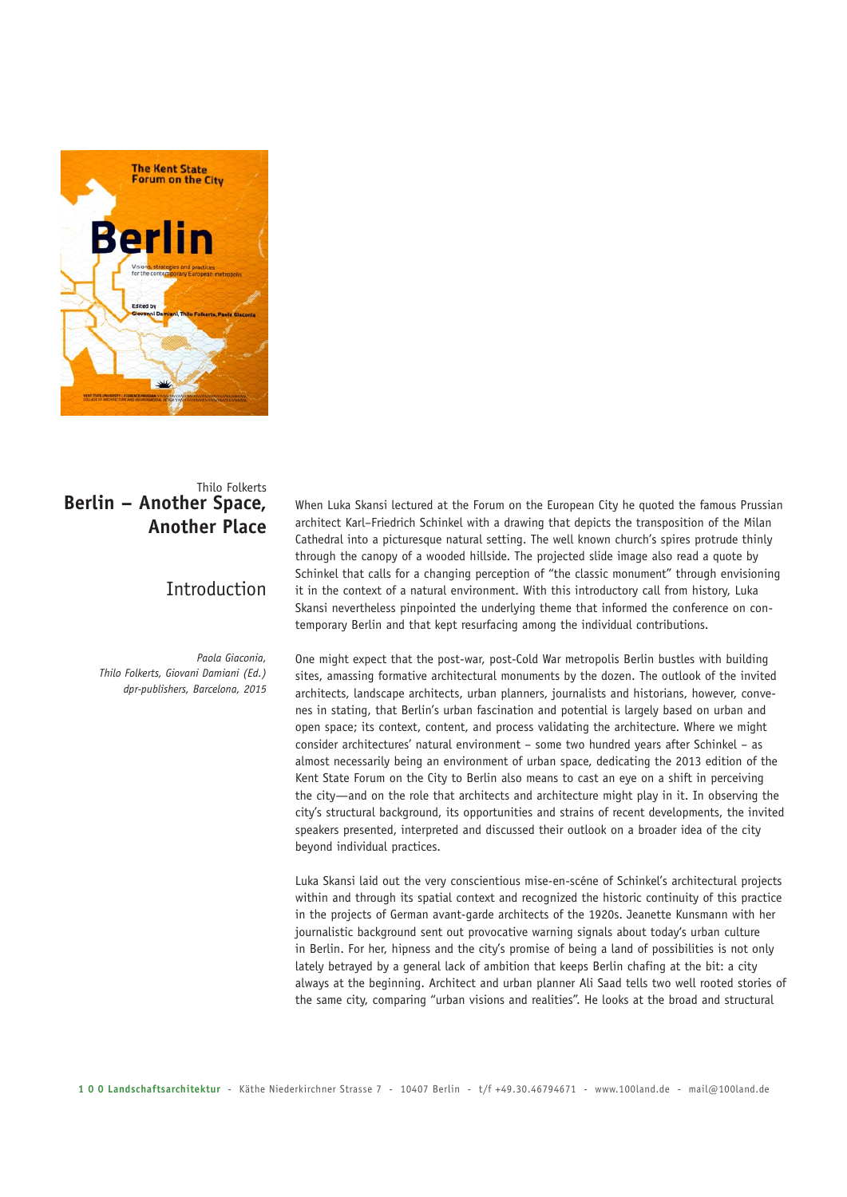

# Thilo Folkerts **Berlin – Another Space, Another Place**

# Introduction

*Paola Giaconia, Thilo Folkerts, Giovani Damiani (Ed.) dpr-publishers, Barcelona, 2015* When Luka Skansi lectured at the Forum on the European City he quoted the famous Prussian architect Karl–Friedrich Schinkel with a drawing that depicts the transposition of the Milan Cathedral into a picturesque natural setting. The well known church's spires protrude thinly through the canopy of a wooded hillside. The projected slide image also read a quote by Schinkel that calls for a changing perception of "the classic monument" through envisioning it in the context of a natural environment. With this introductory call from history, Luka Skansi nevertheless pinpointed the underlying theme that informed the conference on contemporary Berlin and that kept resurfacing among the individual contributions.

One might expect that the post-war, post-Cold War metropolis Berlin bustles with building sites, amassing formative architectural monuments by the dozen. The outlook of the invited architects, landscape architects, urban planners, journalists and historians, however, convenes in stating, that Berlin's urban fascination and potential is largely based on urban and open space; its context, content, and process validating the architecture. Where we might consider architectures' natural environment – some two hundred years after Schinkel – as almost necessarily being an environment of urban space, dedicating the 2013 edition of the Kent State Forum on the City to Berlin also means to cast an eye on a shift in perceiving the city—and on the role that architects and architecture might play in it. In observing the city's structural background, its opportunities and strains of recent developments, the invited speakers presented, interpreted and discussed their outlook on a broader idea of the city beyond individual practices.

Luka Skansi laid out the very conscientious mise-en-scéne of Schinkel's architectural projects within and through its spatial context and recognized the historic continuity of this practice in the projects of German avant-garde architects of the 1920s. Jeanette Kunsmann with her journalistic background sent out provocative warning signals about today's urban culture in Berlin. For her, hipness and the city's promise of being a land of possibilities is not only lately betrayed by a general lack of ambition that keeps Berlin chafing at the bit: a city always at the beginning. Architect and urban planner Ali Saad tells two well rooted stories of the same city, comparing "urban visions and realities". He looks at the broad and structural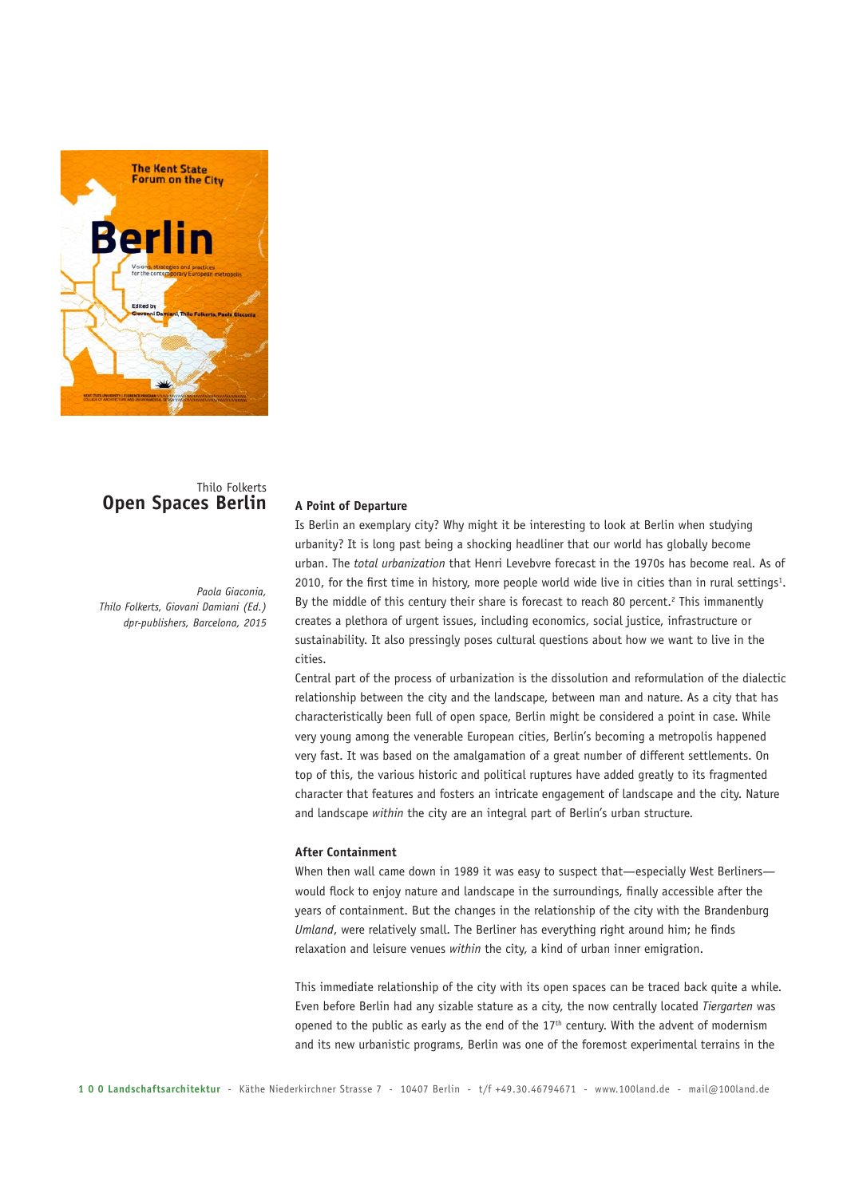

# Thilo Folkerts **Open Spaces Berlin**

*Paola Giaconia, Thilo Folkerts, Giovani Damiani (Ed.) dpr-publishers, Barcelona, 2015*

## **A Point of Departure**

Is Berlin an exemplary city? Why might it be interesting to look at Berlin when studying urbanity? It is long past being a shocking headliner that our world has globally become urban. The *total urbanization* that Henri Levebvre forecast in the 1970s has become real. As of 2010, for the first time in history, more people world wide live in cities than in rural settings<sup>1</sup>. By the middle of this century their share is forecast to reach 80 percent.<sup>2</sup> This immanently creates a plethora of urgent issues, including economics, social justice, infrastructure or sustainability. It also pressingly poses cultural questions about how we want to live in the cities.

Central part of the process of urbanization is the dissolution and reformulation of the dialectic relationship between the city and the landscape, between man and nature. As a city that has characteristically been full of open space, Berlin might be considered a point in case. While very young among the venerable European cities, Berlin's becoming a metropolis happened very fast. It was based on the amalgamation of a great number of different settlements. On top of this, the various historic and political ruptures have added greatly to its fragmented character that features and fosters an intricate engagement of landscape and the city. Nature and landscape *within* the city are an integral part of Berlin's urban structure.

#### **After Containment**

When then wall came down in 1989 it was easy to suspect that—especially West Berliners would flock to enjoy nature and landscape in the surroundings, finally accessible after the years of containment. But the changes in the relationship of the city with the Brandenburg *Umland*, were relatively small. The Berliner has everything right around him; he finds relaxation and leisure venues *within* the city, a kind of urban inner emigration.

This immediate relationship of the city with its open spaces can be traced back quite a while. Even before Berlin had any sizable stature as a city, the now centrally located *Tiergarten* was opened to the public as early as the end of the  $17<sup>th</sup>$  century. With the advent of modernism and its new urbanistic programs, Berlin was one of the foremost experimental terrains in the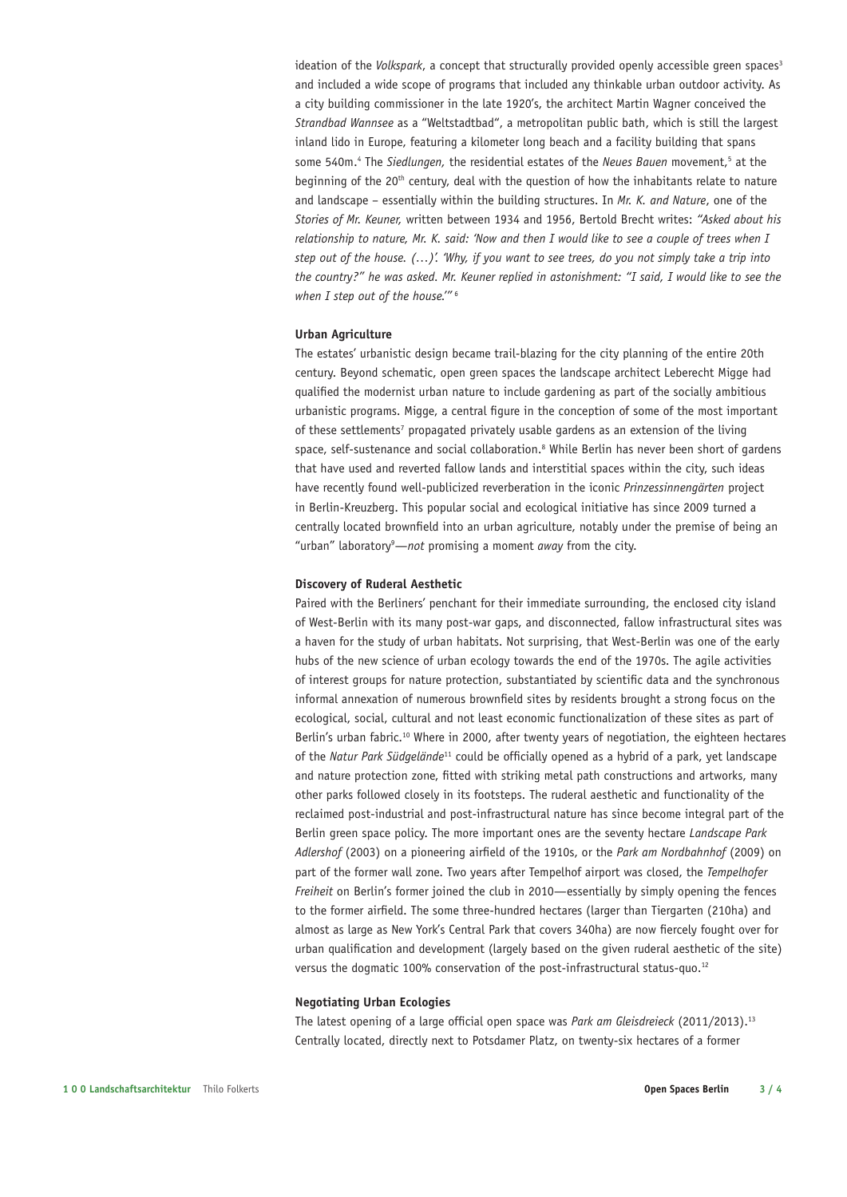ideation of the *Volkspark*, a concept that structurally provided openly accessible green spaces<sup>3</sup> and included a wide scope of programs that included any thinkable urban outdoor activity. As a city building commissioner in the late 1920's, the architect Martin Wagner conceived the *Strandbad Wannsee* as a "Weltstadtbad", a metropolitan public bath, which is still the largest inland lido in Europe, featuring a kilometer long beach and a facility building that spans some 540m.<sup>4</sup> The *Siedlungen*, the residential estates of the *Neues Bauen* movement,<sup>5</sup> at the beginning of the 20<sup>th</sup> century, deal with the question of how the inhabitants relate to nature and landscape – essentially within the building structures. In *Mr. K. and Nature*, one of the *Stories of Mr. Keuner,* written between 1934 and 1956, Bertold Brecht writes: *"Asked about his relationship to nature, Mr. K. said: 'Now and then I would like to see a couple of trees when I step out of the house. (…)'. 'Why, if you want to see trees, do you not simply take a trip into the country?" he was asked. Mr. Keuner replied in astonishment: "I said, I would like to see the when I step out of the house.'"* <sup>6</sup>

## **Urban Agriculture**

The estates' urbanistic design became trail-blazing for the city planning of the entire 20th century. Beyond schematic, open green spaces the landscape architect Leberecht Migge had qualified the modernist urban nature to include gardening as part of the socially ambitious urbanistic programs. Migge, a central figure in the conception of some of the most important of these settlements<sup>7</sup> propagated privately usable gardens as an extension of the living space, self-sustenance and social collaboration.<sup>8</sup> While Berlin has never been short of gardens that have used and reverted fallow lands and interstitial spaces within the city, such ideas have recently found well-publicized reverberation in the iconic *Prinzessinnengärten* project in Berlin-Kreuzberg. This popular social and ecological initiative has since 2009 turned a centrally located brownfield into an urban agriculture, notably under the premise of being an "urban" laboratory<sup>9</sup>—not promising a moment *away* from the city.

# **Discovery of Ruderal Aesthetic**

Paired with the Berliners' penchant for their immediate surrounding, the enclosed city island of West-Berlin with its many post-war gaps, and disconnected, fallow infrastructural sites was a haven for the study of urban habitats. Not surprising, that West-Berlin was one of the early hubs of the new science of urban ecology towards the end of the 1970s. The agile activities of interest groups for nature protection, substantiated by scientific data and the synchronous informal annexation of numerous brownfield sites by residents brought a strong focus on the ecological, social, cultural and not least economic functionalization of these sites as part of Berlin's urban fabric.<sup>10</sup> Where in 2000, after twenty years of negotiation, the eighteen hectares of the *Natur Park Südgelände*11 could be officially opened as a hybrid of a park, yet landscape and nature protection zone, fitted with striking metal path constructions and artworks, many other parks followed closely in its footsteps. The ruderal aesthetic and functionality of the reclaimed post-industrial and post-infrastructural nature has since become integral part of the Berlin green space policy. The more important ones are the seventy hectare *Landscape Park Adlershof* (2003) on a pioneering airfield of the 1910s, or the *Park am Nordbahnhof* (2009) on part of the former wall zone. Two years after Tempelhof airport was closed, the *Tempelhofer Freiheit* on Berlin's former joined the club in 2010—essentially by simply opening the fences to the former airfield. The some three-hundred hectares (larger than Tiergarten (210ha) and almost as large as New York's Central Park that covers 340ha) are now fiercely fought over for urban qualification and development (largely based on the given ruderal aesthetic of the site) versus the dogmatic 100% conservation of the post-infrastructural status-quo.<sup>12</sup>

## **Negotiating Urban Ecologies**

The latest opening of a large official open space was *Park am Gleisdreieck* (2011/2013).13 Centrally located, directly next to Potsdamer Platz, on twenty-six hectares of a former